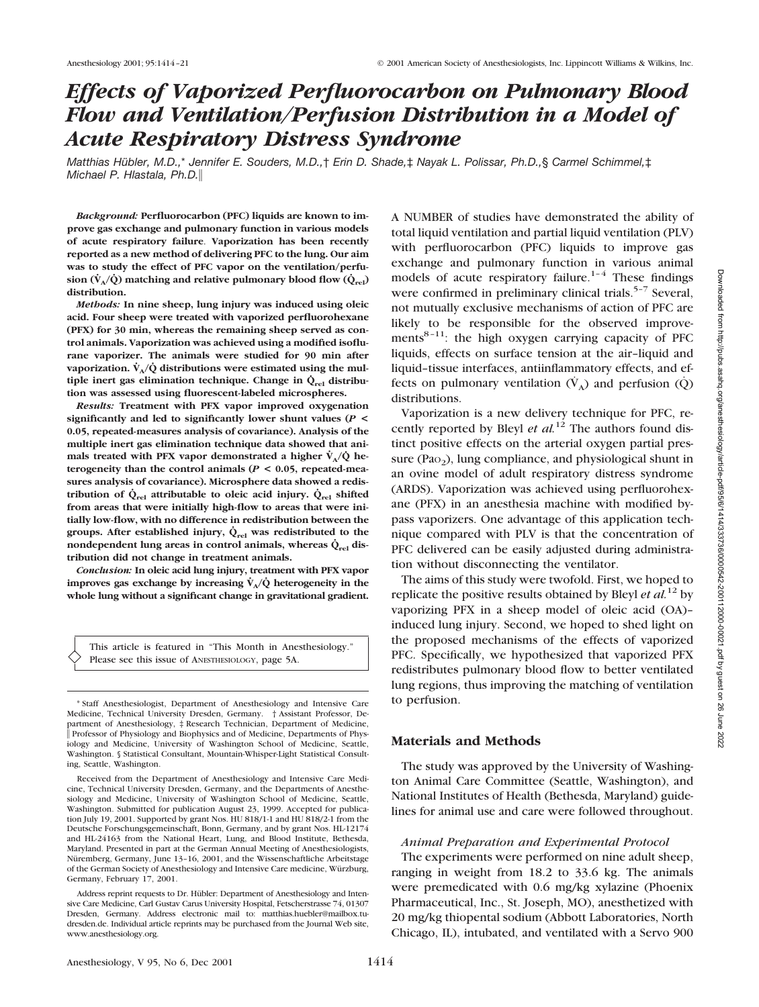# *Effects of Vaporized Perfluorocarbon on Pulmonary Blood Flow and Ventilation/Perfusion Distribution in a Model of Acute Respiratory Distress Syndrome*

*Matthias Hübler, M.D.,*\* *Jennifer E. Souders, M.D.,*† *Erin D. Shade,*‡ *Nayak L. Polissar, Ph.D.,*§ *Carmel Schimmel,*‡ *Michael P. Hlastala, Ph.D.*

*Background:* **Perfluorocarbon (PFC) liquids are known to improve gas exchange and pulmonary function in various models of acute respiratory failure**. **Vaporization has been recently reported as a new method of delivering PFC to the lung. Our aim was to study the effect of PFC vapor on the ventilation/perfusion**  $(\dot{V}_A/\dot{Q})$  matching and relative pulmonary blood flow  $(\dot{Q}_{rel})$ **distribution.**

*Methods:* **In nine sheep, lung injury was induced using oleic acid. Four sheep were treated with vaporized perfluorohexane (PFX) for 30 min, whereas the remaining sheep served as control animals. Vaporization was achieved using a modified isoflurane vaporizer. The animals were studied for 90 min after** vaporization.  $\dot{V}_A/\dot{Q}$  distributions were estimated using the mul**tiple inert gas elimination technique. Change in**  $\dot{Q}_{rel}$  **distribution was assessed using fluorescent-labeled microspheres.**

*Results:* **Treatment with PFX vapor improved oxygenation significantly and led to significantly lower shunt values (***P* **< 0.05, repeated-measures analysis of covariance). Analysis of the multiple inert gas elimination technique data showed that animals treated with PFX vapor demonstrated a higher**  $\dot{V}_{A}/\dot{Q}$  **heterogeneity than the control animals (***P* **< 0.05, repeated-measures analysis of covariance). Microsphere data showed a redistribution of**  $\dot{Q}_{rel}$  **attributable to oleic acid injury.**  $\dot{Q}_{rel}$  **shifted from areas that were initially high-flow to areas that were initially low-flow, with no difference in redistribution between the** groups. After established injury,  $\dot{Q}_{rel}$  was redistributed to the **nondependent lung areas in control animals, whereas**  $\dot{Q}_{rel}$  **distribution did not change in treatment animals.**

*Conclusion:* **In oleic acid lung injury, treatment with PFX vapor improves gas exchange by increasing**  $\dot{V}_{A}/\dot{Q}$  **heterogeneity in the whole lung without a significant change in gravitational gradient.**

This article is featured in "This Month in Anesthesiology." Please see this issue of ANESTHESIOLOGY, page 5A.

\* Staff Anesthesiologist, Department of Anesthesiology and Intensive Care Medicine, Technical University Dresden, Germany. † Assistant Professor, Department of Anesthesiology, ‡ Research Technician, Department of Medicine, Professor of Physiology and Biophysics and of Medicine, Departments of Physiology and Medicine, University of Washington School of Medicine, Seattle, Washington. § Statistical Consultant, Mountain-Whisper-Light Statistical Consulting, Seattle, Washington.

Received from the Department of Anesthesiology and Intensive Care Medicine, Technical University Dresden, Germany, and the Departments of Anesthesiology and Medicine, University of Washington School of Medicine, Seattle, Washington. Submitted for publication August 23, 1999. Accepted for publication July 19, 2001. Supported by grant Nos. HU 818/1-1 and HU 818/2-1 from the Deutsche Forschungsgemeinschaft, Bonn, Germany, and by grant Nos. HL-12174 and HL-24163 from the National Heart, Lung, and Blood Institute, Bethesda, Maryland. Presented in part at the German Annual Meeting of Anesthesiologists, Nüremberg, Germany, June 13–16, 2001, and the Wissenschaftliche Arbeitstage of the German Society of Anesthesiology and Intensive Care medicine, Würzburg, Germany, February 17, 2001.

Address reprint requests to Dr. Hübler: Department of Anesthesiology and Intensive Care Medicine, Carl Gustav Carus University Hospital, Fetscherstrasse 74, 01307 Dresden, Germany. Address electronic mail to: matthias.huebler@mailbox.tudresden.de. Individual article reprints may be purchased from the Journal Web site, www.anesthesiology.org.

A NUMBER of studies have demonstrated the ability of total liquid ventilation and partial liquid ventilation (PLV) with perfluorocarbon (PFC) liquids to improve gas exchange and pulmonary function in various animal models of acute respiratory failure.<sup>1–4</sup> These findings were confirmed in preliminary clinical trials.<sup>5-7</sup> Several, not mutually exclusive mechanisms of action of PFC are likely to be responsible for the observed improvements<sup>8-11</sup>: the high oxygen carrying capacity of PFC liquids, effects on surface tension at the air–liquid and liquid–tissue interfaces, antiinflammatory effects, and effects on pulmonary ventilation  $(V_A)$  and perfusion  $(Q)$ distributions.

Vaporization is a new delivery technique for PFC, recently reported by Bleyl *et al.*<sup>12</sup> The authors found distinct positive effects on the arterial oxygen partial pressure (Pa $_{2}$ ), lung compliance, and physiological shunt in an ovine model of adult respiratory distress syndrome (ARDS). Vaporization was achieved using perfluorohexane (PFX) in an anesthesia machine with modified bypass vaporizers. One advantage of this application technique compared with PLV is that the concentration of PFC delivered can be easily adjusted during administration without disconnecting the ventilator.

The aims of this study were twofold. First, we hoped to replicate the positive results obtained by Bleyl *et al.*<sup>12</sup> by vaporizing PFX in a sheep model of oleic acid (OA)– induced lung injury. Second, we hoped to shed light on the proposed mechanisms of the effects of vaporized PFC. Specifically, we hypothesized that vaporized PFX redistributes pulmonary blood flow to better ventilated lung regions, thus improving the matching of ventilation to perfusion.

## **Materials and Methods**

The study was approved by the University of Washington Animal Care Committee (Seattle, Washington), and National Institutes of Health (Bethesda, Maryland) guidelines for animal use and care were followed throughout.

#### *Animal Preparation and Experimental Protocol*

The experiments were performed on nine adult sheep, ranging in weight from 18.2 to 33.6 kg. The animals were premedicated with 0.6 mg/kg xylazine (Phoenix Pharmaceutical, Inc., St. Joseph, MO), anesthetized with 20 mg/kg thiopental sodium (Abbott Laboratories, North Chicago, IL), intubated, and ventilated with a Servo 900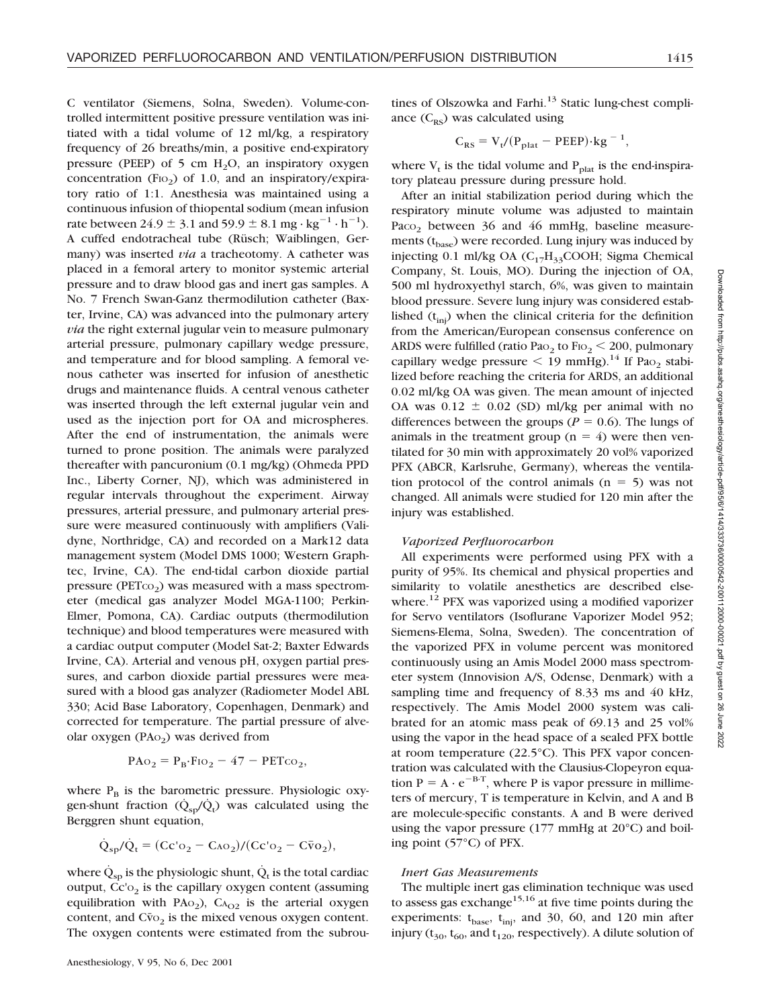C ventilator (Siemens, Solna, Sweden). Volume-controlled intermittent positive pressure ventilation was initiated with a tidal volume of 12 ml/kg, a respiratory frequency of 26 breaths/min, a positive end-expiratory pressure (PEEP) of 5 cm  $H_2O$ , an inspiratory oxygen concentration (F<sub>IO<sub>2</sub>) of 1.0, and an inspiratory/expira-</sub> tory ratio of 1:1. Anesthesia was maintained using a continuous infusion of thiopental sodium (mean infusion rate between  $24.9 \pm 3.1$  and  $59.9 \pm 8.1$  mg · kg<sup>-1</sup> · h<sup>-1</sup>). A cuffed endotracheal tube (Rüsch; Waiblingen, Germany) was inserted *via* a tracheotomy. A catheter was placed in a femoral artery to monitor systemic arterial pressure and to draw blood gas and inert gas samples. A No. 7 French Swan-Ganz thermodilution catheter (Baxter, Irvine, CA) was advanced into the pulmonary artery *via* the right external jugular vein to measure pulmonary arterial pressure, pulmonary capillary wedge pressure, and temperature and for blood sampling. A femoral venous catheter was inserted for infusion of anesthetic drugs and maintenance fluids. A central venous catheter was inserted through the left external jugular vein and used as the injection port for OA and microspheres. After the end of instrumentation, the animals were turned to prone position. The animals were paralyzed thereafter with pancuronium (0.1 mg/kg) (Ohmeda PPD Inc., Liberty Corner, NJ), which was administered in regular intervals throughout the experiment. Airway pressures, arterial pressure, and pulmonary arterial pressure were measured continuously with amplifiers (Validyne, Northridge, CA) and recorded on a Mark12 data management system (Model DMS 1000; Western Graphtec, Irvine, CA). The end-tidal carbon dioxide partial pressure ( $PETCO<sub>2</sub>$ ) was measured with a mass spectrometer (medical gas analyzer Model MGA-1100; Perkin-Elmer, Pomona, CA). Cardiac outputs (thermodilution technique) and blood temperatures were measured with a cardiac output computer (Model Sat-2; Baxter Edwards Irvine, CA). Arterial and venous pH, oxygen partial pressures, and carbon dioxide partial pressures were measured with a blood gas analyzer (Radiometer Model ABL 330; Acid Base Laboratory, Copenhagen, Denmark) and corrected for temperature. The partial pressure of alveolar oxygen (PA $o<sub>2</sub>$ ) was derived from

$$
PAo_2 = P_B \cdot Fio_2 - 47 - PETco_2,
$$

where  $P_B$  is the barometric pressure. Physiologic oxygen-shunt fraction  $(\dot{Q}_{sp}/\dot{Q}_t)$  was calculated using the Berggren shunt equation,

$$
\dot{Q}_{sp}/\dot{Q}_t=(Cc'\mathrm{o}_2-C\mathrm{ao}_2)/(Cc'\mathrm{o}_2-C\bar{v}\mathrm{o}_2),
$$

where  $\dot{Q}_{\rm{so}}$  is the physiologic shunt,  $\dot{Q}_{\rm{t}}$  is the total cardiac output,  $\text{Cc}_2$  is the capillary oxygen content (assuming equilibration with  $PAo<sub>2</sub>$ ),  $Ca<sub>O2</sub>$  is the arterial oxygen content, and  $Cv<sub>O2</sub>$  is the mixed venous oxygen content. The oxygen contents were estimated from the subrou-

tines of Olszowka and Farhi. $13$  Static lung-chest compliance  $(C_{RS})$  was calculated using

$$
C_{RS} = V_t / (P_{plat} - PEEP) \cdot kg^{-1},
$$

where  $V_t$  is the tidal volume and  $P_{\text{plat}}$  is the end-inspiratory plateau pressure during pressure hold.

After an initial stabilization period during which the respiratory minute volume was adjusted to maintain Paco<sub>2</sub> between 36 and 46 mmHg, baseline measurements (t<sub>base</sub>) were recorded. Lung injury was induced by injecting 0.1 ml/kg OA  $(C_{17}H_{33}COOH;$  Sigma Chemical Company, St. Louis, MO). During the injection of OA, 500 ml hydroxyethyl starch, 6%, was given to maintain blood pressure. Severe lung injury was considered established  $(t_{\text{inj}})$  when the clinical criteria for the definition from the American/European consensus conference on ARDS were fulfilled (ratio Pa $_{2}$  to Fio $_{2}$  < 200, pulmonary capillary wedge pressure  $\leq$  19 mmHg).<sup>14</sup> If Pao<sub>2</sub> stabilized before reaching the criteria for ARDS, an additional 0.02 ml/kg OA was given. The mean amount of injected OA was  $0.12 \pm 0.02$  (SD) ml/kg per animal with no differences between the groups ( $P = 0.6$ ). The lungs of animals in the treatment group ( $n = 4$ ) were then ventilated for 30 min with approximately 20 vol% vaporized PFX (ABCR, Karlsruhe, Germany), whereas the ventilation protocol of the control animals  $(n = 5)$  was not changed. All animals were studied for 120 min after the injury was established.

# *Vaporized Perfluorocarbon*

All experiments were performed using PFX with a purity of 95%. Its chemical and physical properties and similarity to volatile anesthetics are described elsewhere.<sup>12</sup> PFX was vaporized using a modified vaporizer for Servo ventilators (Isoflurane Vaporizer Model 952; Siemens-Elema, Solna, Sweden). The concentration of the vaporized PFX in volume percent was monitored continuously using an Amis Model 2000 mass spectrometer system (Innovision A/S, Odense, Denmark) with a sampling time and frequency of 8.33 ms and 40 kHz, respectively. The Amis Model 2000 system was calibrated for an atomic mass peak of 69.13 and 25 vol% using the vapor in the head space of a sealed PFX bottle at room temperature (22.5°C). This PFX vapor concentration was calculated with the Clausius-Clopeyron equation  $P = A \cdot e^{-B \cdot T}$ , where P is vapor pressure in millimeters of mercury, T is temperature in Kelvin, and A and B are molecule-specific constants. A and B were derived using the vapor pressure (177 mmHg at 20°C) and boiling point (57°C) of PFX.

#### *Inert Gas Measurements*

The multiple inert gas elimination technique was used to assess gas exchange<sup>15,16</sup> at five time points during the experiments:  $t_{base}$ ,  $t_{inj}$ , and 30, 60, and 120 min after injury ( $t_{30}$ ,  $t_{60}$ , and  $t_{120}$ , respectively). A dilute solution of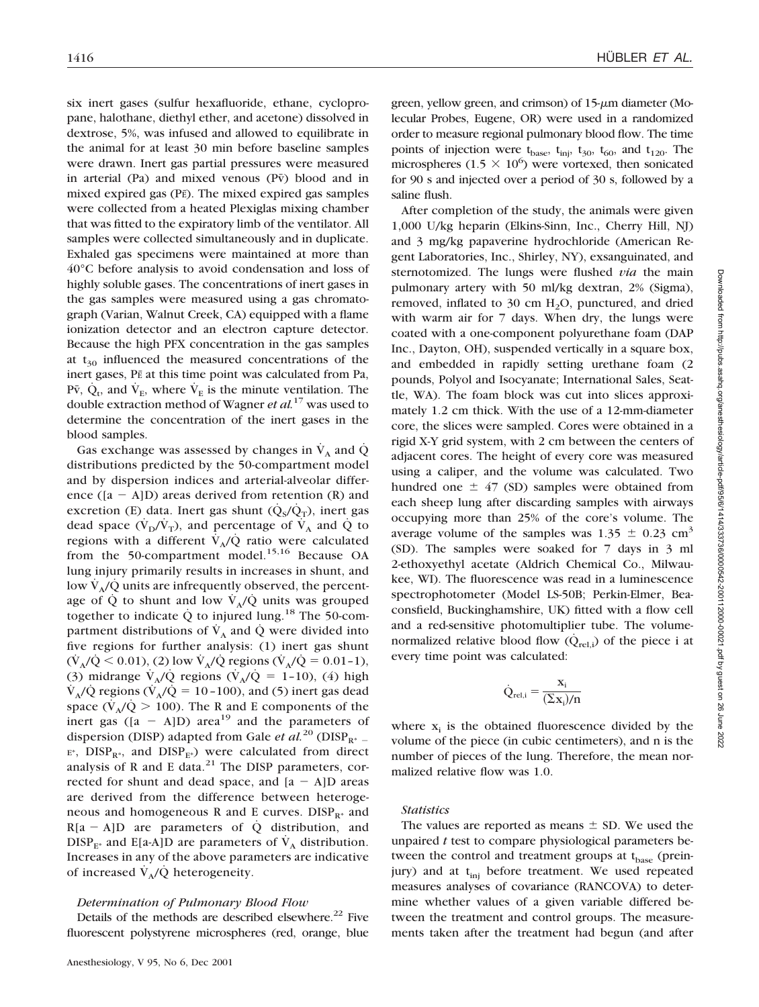six inert gases (sulfur hexafluoride, ethane, cyclopropane, halothane, diethyl ether, and acetone) dissolved in dextrose, 5%, was infused and allowed to equilibrate in the animal for at least 30 min before baseline samples were drawn. Inert gas partial pressures were measured in arterial (Pa) and mixed venous ( $P\bar{v}$ ) blood and in mixed expired gas (PE). The mixed expired gas samples were collected from a heated Plexiglas mixing chamber that was fitted to the expiratory limb of the ventilator. All samples were collected simultaneously and in duplicate. Exhaled gas specimens were maintained at more than 40°C before analysis to avoid condensation and loss of highly soluble gases. The concentrations of inert gases in the gas samples were measured using a gas chromatograph (Varian, Walnut Creek, CA) equipped with a flame ionization detector and an electron capture detector. Because the high PFX concentration in the gas samples at  $t_{30}$  influenced the measured concentrations of the inert gases, PE at this time point was calculated from Pa, P $\bar{v}$ ,  $\dot{Q}_t$ , and  $\dot{V}_E$ , where  $\dot{V}_E$  is the minute ventilation. The double extraction method of Wagner *et al.*<sup>17</sup> was used to determine the concentration of the inert gases in the blood samples.

Gas exchange was assessed by changes in  $\dot{V}_A$  and  $\dot{Q}$ distributions predicted by the 50-compartment model and by dispersion indices and arterial-alveolar difference  $([a - A]D)$  areas derived from retention  $(R)$  and excretion (E) data. Inert gas shunt  $(\dot{Q}_s/\dot{Q}_T)$ , inert gas dead space  $(\dot{V}_D/\dot{V}_T)$ , and percentage of  $\dot{V}_A$  and Q to regions with a different  $V_A/Q$  ratio were calculated from the 50-compartment model.<sup>15,16</sup> Because OA lung injury primarily results in increases in shunt, and low  $V_A/\dot{Q}$  units are infrequently observed, the percentage of Q to shunt and low  $V_A/\dot{Q}$  units was grouped together to indicate  $\dot{Q}$  to injured lung.<sup>18</sup> The 50-compartment distributions of  $\dot{V}_A$  and  $\dot{Q}$  were divided into five regions for further analysis: (1) inert gas shunt  $(\dot{V}_A/\dot{Q} < 0.01)$ , (2) low  $\dot{V}_A/\dot{Q}$  regions ( $\dot{V}_A/\dot{Q} = 0.01$ -1), (3) midrange  $\dot{V}_A/\dot{Q}$  regions  $(\dot{V}_A/\dot{Q} = 1$ -10), (4) high  $\dot{V}_A/\dot{Q}$  regions ( $\dot{V}_A/\dot{Q} = 10 - 100$ ), and (5) inert gas dead space ( $\dot{V}_A/\dot{Q} > 100$ ). The R and E components of the inert gas  $([a - A]D)$  area<sup>19</sup> and the parameters of dispersion (DISP) adapted from Gale *et al.*<sup>20</sup> (DISP<sub>R\*</sub> - $E^*$ , DISP<sub>R<sup>\*</sub></sup>, and DISP<sub>E\*</sub>) were calculated from direct</sub> analysis of R and E data. $21$  The DISP parameters, corrected for shunt and dead space, and  $[a - A]D$  areas are derived from the difference between heterogeneous and homogeneous R and E curves.  $DISP_{R^*}$  and  $R[a - A]D$  are parameters of  $\dot{Q}$  distribution, and  $DISP_{F^*}$  and E[a-A]D are parameters of  $V_A$  distribution. Increases in any of the above parameters are indicative of increased  $V_A/Q$  heterogeneity.

#### *Determination of Pulmonary Blood Flow*

Details of the methods are described elsewhere. $^{22}$  Five fluorescent polystyrene microspheres (red, orange, blue

green, yellow green, and crimson) of  $15$ - $\mu$ m diameter (Molecular Probes, Eugene, OR) were used in a randomized order to measure regional pulmonary blood flow. The time points of injection were  $t_{base}$ ,  $t_{ini}$ ,  $t_{30}$ ,  $t_{60}$ , and  $t_{120}$ . The microspheres (1.5  $\times$  10<sup>6</sup>) were vortexed, then sonicated for 90 s and injected over a period of 30 s, followed by a saline flush.

After completion of the study, the animals were given 1,000 U/kg heparin (Elkins-Sinn, Inc., Cherry Hill, NJ) and 3 mg/kg papaverine hydrochloride (American Regent Laboratories, Inc., Shirley, NY), exsanguinated, and sternotomized. The lungs were flushed *via* the main pulmonary artery with 50 ml/kg dextran, 2% (Sigma), removed, inflated to 30 cm  $H_2O$ , punctured, and dried with warm air for 7 days. When dry, the lungs were coated with a one-component polyurethane foam (DAP Inc., Dayton, OH), suspended vertically in a square box, and embedded in rapidly setting urethane foam (2 pounds, Polyol and Isocyanate; International Sales, Seattle, WA). The foam block was cut into slices approximately 1.2 cm thick. With the use of a 12-mm-diameter core, the slices were sampled. Cores were obtained in a rigid X-Y grid system, with 2 cm between the centers of adjacent cores. The height of every core was measured using a caliper, and the volume was calculated. Two hundred one  $\pm$  47 (SD) samples were obtained from each sheep lung after discarding samples with airways occupying more than 25% of the core's volume. The average volume of the samples was  $1.35 \pm 0.23$  cm<sup>3</sup> (SD). The samples were soaked for 7 days in 3 ml 2-ethoxyethyl acetate (Aldrich Chemical Co., Milwaukee, WI). The fluorescence was read in a luminescence spectrophotometer (Model LS-50B; Perkin-Elmer, Beaconsfield, Buckinghamshire, UK) fitted with a flow cell and a red-sensitive photomultiplier tube. The volumenormalized relative blood flow  $(Q_{rel,i})$  of the piece i at every time point was calculated:

$$
\dot{Q}_{rel,i} = \frac{x_i}{(\Sigma x_i)/n}
$$

where  $x_i$  is the obtained fluorescence divided by the volume of the piece (in cubic centimeters), and n is the number of pieces of the lung. Therefore, the mean normalized relative flow was 1.0.

#### *Statistics*

The values are reported as means  $\pm$  SD. We used the unpaired *t* test to compare physiological parameters between the control and treatment groups at  $t_{base}$  (preinjury) and at  $t_{\text{ini}}$  before treatment. We used repeated measures analyses of covariance (RANCOVA) to determine whether values of a given variable differed between the treatment and control groups. The measurements taken after the treatment had begun (and after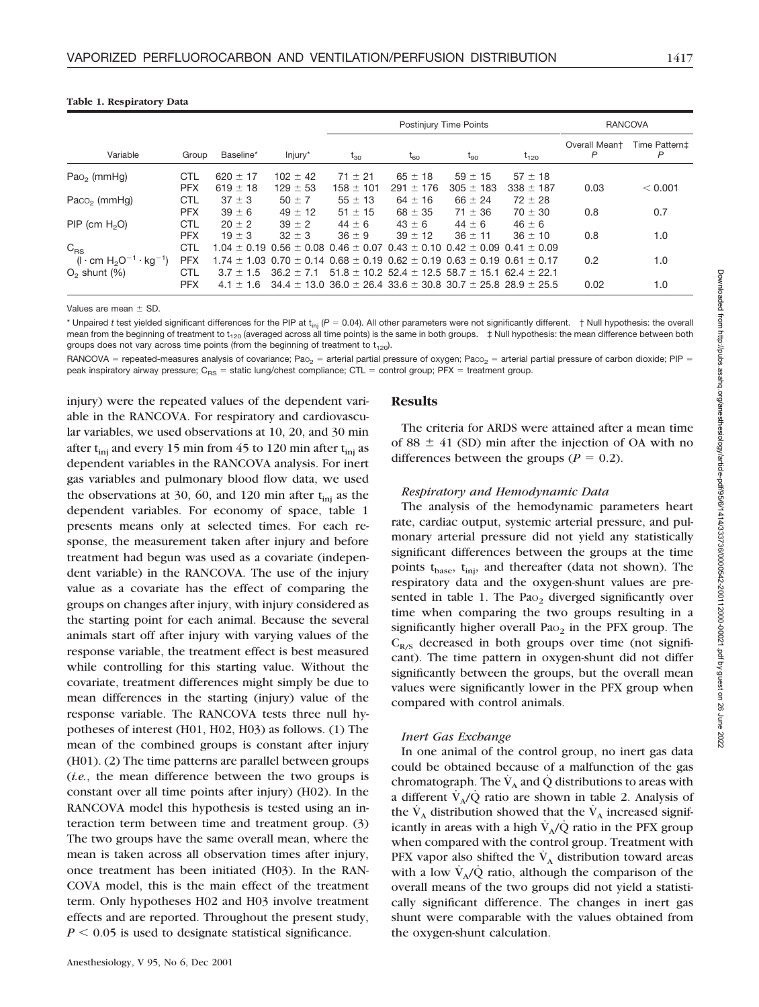|                                                             |                          |                              |                              | Postinjury Time Points                                                                                        |                                                                 |                              |                              | <b>RANCOVA</b>     |                    |
|-------------------------------------------------------------|--------------------------|------------------------------|------------------------------|---------------------------------------------------------------------------------------------------------------|-----------------------------------------------------------------|------------------------------|------------------------------|--------------------|--------------------|
| Variable                                                    | Group                    | Baseline*                    | Injury*                      | $t_{30}$                                                                                                      | $t_{60}$                                                        | $t_{90}$                     | $t_{120}$                    | Overall Meant<br>P | Time Pattern‡<br>P |
| $Pao2$ (mmHq)                                               | <b>CTL</b><br><b>PFX</b> | 620 $\pm$ 17<br>619 $\pm$ 18 | $102 \pm 42$<br>$129 \pm 53$ | $71 \pm 21$<br>$158 \pm 101$                                                                                  | $65 \pm 18$<br>$291 \pm 176$                                    | $59 \pm 15$<br>$305 \pm 183$ | $57 \pm 18$<br>$338 \pm 187$ | 0.03               | < 0.001            |
| Paco <sub>2</sub> (mmHg)                                    | <b>CTL</b><br><b>PFX</b> | $37 \pm 3$<br>$39 \pm 6$     | $50 \pm 7$<br>$49 \pm 12$    | $55 \pm 13$<br>$51 \pm 15$                                                                                    | $64 \pm 16$<br>$68 \pm 35$                                      | $66 \pm 24$<br>$71 \pm 36$   | $72 \pm 28$<br>$70 \pm 30$   |                    |                    |
| $PIP$ (cm $H2O$ )                                           | <b>CTL</b>               | $20 \pm 2$                   | $39 \pm 2$                   | $44 + 6$                                                                                                      | $43 \pm 6$                                                      | $44 + 6$                     | $46 \pm 6$                   | 0.8                | 0.7                |
| $C_{RS}$                                                    | <b>PFX</b><br>CTL        | $19 \pm 3$                   | $32 \pm 3$                   | $36 \pm 9$<br>$1.04 \pm 0.19$ 0.56 $\pm$ 0.08 0.46 $\pm$ 0.07 0.43 $\pm$ 0.10 0.42 $\pm$ 0.09 0.41 $\pm$ 0.09 | $39 \pm 12$                                                     | $36 \pm 11$                  | $36 \pm 10$                  | 0.8                | 1.0                |
| $(I \cdot cm H_2O^{-1} \cdot kg^{-1})$<br>$O2$ shunt $(\%)$ | <b>PFX</b><br>CTL        | $3.7 \pm 1.5$                | $36.2 \pm 7.1$               | $1.74 \pm 1.03$ 0.70 $\pm$ 0.14 0.68 $\pm$ 0.19 0.62 $\pm$ 0.19 0.63 $\pm$ 0.19 0.61 $\pm$ 0.17               | $51.8 \pm 10.2$ 52.4 $\pm$ 12.5 58.7 $\pm$ 15.1 62.4 $\pm$ 22.1 |                              |                              | 0.2                | 1.0                |
|                                                             | <b>PFX</b>               | $4.1 \pm 1.6$                |                              | $34.4 \pm 13.0$ $36.0 \pm 26.4$ $33.6 \pm 30.8$ $30.7 \pm 25.8$ $28.9 \pm 25.5$                               |                                                                 |                              |                              | 0.02               | 1.0                |

#### **Table 1. Respiratory Data**

Values are mean  $\pm$  SD

\* Unpaired *t* test yielded significant differences for the PIP at t<sub>ini</sub> (P = 0.04). All other parameters were not significantly different. † Null hypothesis: the overall mean from the beginning of treatment to  $t_{120}$  (averaged across all time points) is the same in both groups.  $\pm$  Null hypothesis: the mean difference between both groups does not vary across time points (from the beginning of treatment to  $t_{120}$ ).

RANCOVA = repeated-measures analysis of covariance; Pao<sub>2</sub> = arterial partial pressure of oxygen; Paco<sub>2</sub> = arterial partial pressure of carbon dioxide; PIP = peak inspiratory airway pressure;  $C_{RS}$  = static lung/chest compliance; CTL = control group; PFX = treatment group.

injury) were the repeated values of the dependent variable in the RANCOVA. For respiratory and cardiovascular variables, we used observations at 10, 20, and 30 min after  $t_{\text{ini}}$  and every 15 min from 45 to 120 min after  $t_{\text{ini}}$  as dependent variables in the RANCOVA analysis. For inert gas variables and pulmonary blood flow data, we used the observations at 30, 60, and 120 min after  $t_{\text{ini}}$  as the dependent variables. For economy of space, table 1 presents means only at selected times. For each response, the measurement taken after injury and before treatment had begun was used as a covariate (independent variable) in the RANCOVA. The use of the injury value as a covariate has the effect of comparing the groups on changes after injury, with injury considered as the starting point for each animal. Because the several animals start off after injury with varying values of the response variable, the treatment effect is best measured while controlling for this starting value. Without the covariate, treatment differences might simply be due to mean differences in the starting (injury) value of the response variable. The RANCOVA tests three null hypotheses of interest (H01, H02, H03) as follows. (1) The mean of the combined groups is constant after injury (H01). (2) The time patterns are parallel between groups (*i.e.*, the mean difference between the two groups is constant over all time points after injury) (H02). In the RANCOVA model this hypothesis is tested using an interaction term between time and treatment group. (3) The two groups have the same overall mean, where the mean is taken across all observation times after injury, once treatment has been initiated (H03). In the RAN-COVA model, this is the main effect of the treatment term. Only hypotheses H02 and H03 involve treatment effects and are reported. Throughout the present study,  $P \leq 0.05$  is used to designate statistical significance.

#### **Results**

The criteria for ARDS were attained after a mean time of 88  $\pm$  41 (SD) min after the injection of OA with no differences between the groups ( $P = 0.2$ ).

## *Respiratory and Hemodynamic Data*

The analysis of the hemodynamic parameters heart rate, cardiac output, systemic arterial pressure, and pulmonary arterial pressure did not yield any statistically significant differences between the groups at the time points t<sub>base</sub>, t<sub>inj</sub>, and thereafter (data not shown). The respiratory data and the oxygen-shunt values are presented in table 1. The  $PaO<sub>2</sub>$  diverged significantly over time when comparing the two groups resulting in a significantly higher overall  $PaO<sub>2</sub>$  in the PFX group. The  $C_{R/S}$  decreased in both groups over time (not significant). The time pattern in oxygen-shunt did not differ significantly between the groups, but the overall mean values were significantly lower in the PFX group when compared with control animals.

# *Inert Gas Exchange*

In one animal of the control group, no inert gas data could be obtained because of a malfunction of the gas chromatograph. The  $V_A$  and Q distributions to areas with a different  $\dot{V}_A/\dot{Q}$  ratio are shown in table 2. Analysis of the  $V_A$  distribution showed that the  $V_A$  increased significantly in areas with a high  $V_A/Q$  ratio in the PFX group when compared with the control group. Treatment with PFX vapor also shifted the  $\dot{V}_A$  distribution toward areas with a low  $V_A/O$  ratio, although the comparison of the overall means of the two groups did not yield a statistically significant difference. The changes in inert gas shunt were comparable with the values obtained from the oxygen-shunt calculation.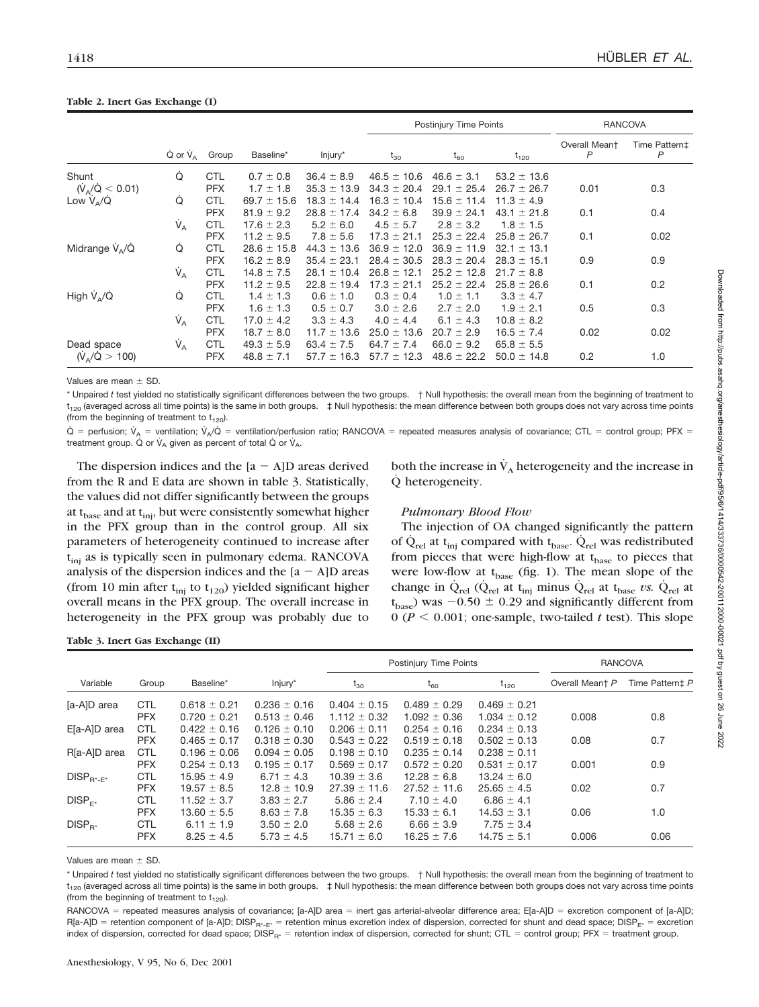|                               |                                 |            |                 |                 |                 | Postinjury Time Points | <b>RANCOVA</b>  |                               |                    |
|-------------------------------|---------------------------------|------------|-----------------|-----------------|-----------------|------------------------|-----------------|-------------------------------|--------------------|
|                               | $\dot{Q}$ or $\dot{V}_A$        | Group      | Baseline*       | Injury*         | $t_{30}$        | $t_{60}$               | $t_{120}$       | Overall Meant<br>$\mathsf{P}$ | Time Pattern‡<br>P |
| Shunt                         | Q                               | <b>CTL</b> | $0.7 \pm 0.8$   | $36.4 \pm 8.9$  | $46.5 \pm 10.6$ | $46.6 \pm 3.1$         | $53.2 \pm 13.6$ |                               |                    |
| $(\dot{V}_A/\dot{Q} < 0.01)$  |                                 | <b>PFX</b> | $1.7 \pm 1.8$   | $35.3 \pm 13.9$ | $34.3 \pm 20.4$ | $29.1 \pm 25.4$        | $26.7 \pm 26.7$ | 0.01                          | 0.3                |
| Low $V_A/Q$                   | Ó                               | <b>CTL</b> | 69.7 $\pm$ 15.6 | $18.3 \pm 14.4$ | $16.3 \pm 10.4$ | $15.6 \pm 11.4$        | $11.3 \pm 4.9$  |                               |                    |
|                               |                                 | <b>PFX</b> | $81.9 \pm 9.2$  | $28.8 \pm 17.4$ | $34.2 \pm 6.8$  | $39.9 \pm 24.1$        | $43.1 \pm 21.8$ | 0.1                           | 0.4                |
|                               | $\dot{V}_A$                     | <b>CTL</b> | $17.6 \pm 2.3$  | $5.2 \pm 6.0$   | $4.5 \pm 5.7$   | $2.8 \pm 3.2$          | $1.8 \pm 1.5$   |                               |                    |
|                               |                                 | <b>PFX</b> | $11.2 \pm 9.5$  | $7.8 \pm 5.6$   | $17.3 \pm 21.1$ | $25.3 \pm 22.4$        | $25.8 \pm 26.7$ | 0.1                           | 0.02               |
| Midrange $V_{\alpha}/\dot{Q}$ | Ó                               | <b>CTL</b> | $28.6 \pm 15.8$ | $44.3 \pm 13.6$ | $36.9 \pm 12.0$ | $36.9 \pm 11.9$        | 32.1<br>± 13.1  |                               |                    |
|                               |                                 | <b>PFX</b> | $16.2 \pm 8.9$  | $35.4 \pm 23.1$ | $28.4 \pm 30.5$ | $28.3 \pm 20.4$        | $28.3 \pm 15.1$ | 0.9                           | 0.9                |
|                               | $V_{A}$                         | <b>CTL</b> | $14.8 \pm 7.5$  | $28.1 \pm 10.4$ | $26.8 \pm 12.1$ | $25.2 \pm 12.8$        | $21.7 \pm 8.8$  |                               |                    |
|                               |                                 | <b>PFX</b> | $11.2 \pm 9.5$  | $22.8 \pm 19.4$ | $17.3 \pm 21.1$ | $25.2 \pm 22.4$        | $25.8 \pm 26.6$ | 0.1                           | 0.2                |
| High $V_{A}/\dot{Q}$          | Ó                               | <b>CTL</b> | $1.4 \pm 1.3$   | $0.6 \pm 1.0$   | $0.3 \pm 0.4$   | $1.0 \pm 1.1$          | $3.3 \pm 4.7$   |                               |                    |
|                               |                                 | <b>PFX</b> | $1.6 \pm 1.3$   | $0.5 \pm 0.7$   | $3.0 \pm 2.6$   | $2.7 \pm 2.0$          | $1.9 \pm 2.1$   | 0.5                           | 0.3                |
|                               | $\dot{\mathsf{V}}_{\mathsf{A}}$ | <b>CTL</b> | $17.0 \pm 4.2$  | $3.3 \pm 4.3$   | $4.0 \pm 4.4$   | 6.1 $\pm$ 4.3          | $10.8 \pm 8.2$  |                               |                    |
|                               |                                 | <b>PFX</b> | $18.7 \pm 8.0$  | $11.7 \pm 13.6$ | $25.0 \pm 13.6$ | $20.7 \pm 2.9$         | $16.5 \pm 7.4$  | 0.02                          | 0.02               |
| Dead space                    | $V_A$                           | <b>CTL</b> | $49.3 \pm 5.9$  | 63.4 $\pm$ 7.5  | 64.7 $\pm$ 7.4  | $66.0 \pm 9.2$         | $65.8 \pm 5.5$  |                               |                    |
| $(\dot{V}_A/\dot{Q} > 100)$   |                                 | <b>PFX</b> | $48.8 \pm 7.1$  | $57.7 \pm 16.3$ | $57.7 \pm 12.3$ | $48.6 \pm 22.2$        | $50.0 \pm 14.8$ | 0.2                           | 1.0                |

#### **Table 2. Inert Gas Exchange (I)**

Values are mean  $+$  SD.

\* Unpaired *t* test yielded no statistically significant differences between the two groups. † Null hypothesis: the overall mean from the beginning of treatment to  $t_{120}$  (averaged across all time points) is the same in both groups.  $\pm$  Null hypothesis: the mean difference between both groups does not vary across time points (from the beginning of treatment to  $t_{120}$ ).

 $\dot{Q}$  = perfusion;  $\dot{V}_A$  = ventilation;  $\dot{V}_A/\dot{Q}$  = ventilation/perfusion ratio; RANCOVA = repeated measures analysis of covariance; CTL = control group; PFX = treatment group. Q or  $V_A$  given as percent of total Q or  $V_A$ .

The dispersion indices and the  $[a - A]D$  areas derived from the R and E data are shown in table 3. Statistically, the values did not differ significantly between the groups at t<sub>base</sub> and at t<sub>ini</sub>, but were consistently somewhat higher in the PFX group than in the control group. All six parameters of heterogeneity continued to increase after t<sub>inj</sub> as is typically seen in pulmonary edema. RANCOVA analysis of the dispersion indices and the  $[a - A]D$  areas (from 10 min after  $t_{\text{inj}}$  to  $t_{120}$ ) yielded significant higher overall means in the PFX group. The overall increase in heterogeneity in the PFX group was probably due to both the increase in  $V_A$  heterogeneity and the increase in Q˙ heterogeneity.

# *Pulmonary Blood Flow*

The injection of OA changed significantly the pattern of  $Q_{rel}$  at t<sub>inj</sub> compared with t<sub>base</sub>.  $Q_{rel}$  was redistributed from pieces that were high-flow at  $t_{base}$  to pieces that were low-flow at  $t_{base}$  (fig. 1). The mean slope of the change in  $Q_{rel}$  ( $Q_{rel}$  at t<sub>inj</sub> minus  $Q_{rel}$  at t<sub>base</sub> *vs.*  $Q_{rel}$  at  $(t_{base})$  was  $-0.50 \pm 0.29$  and significantly different from  $0 (P \le 0.001;$  one-sample, two-tailed *t* test). This slope

**Table 3. Inert Gas Exchange (II)**

|                    |            |                  |                  | Postinjury Time Points |                  |                  | <b>RANCOVA</b>  |                 |
|--------------------|------------|------------------|------------------|------------------------|------------------|------------------|-----------------|-----------------|
| Variable           | Group      | Baseline*        | Injury*          | $t_{30}$               | $t_{60}$         | $t_{120}$        | Overall Meant P | Time Pattern‡ P |
| [a-A]D area        | <b>CTL</b> | $0.618 \pm 0.21$ | $0.236 \pm 0.16$ | $0.404 \pm 0.15$       | $0.489 \pm 0.29$ | $0.469 \pm 0.21$ |                 |                 |
|                    | <b>PFX</b> | $0.720 \pm 0.21$ | $0.513 \pm 0.46$ | $1.112 \pm 0.32$       | $1.092 \pm 0.36$ | $1.034 \pm 0.12$ | 0.008           | 0.8             |
| E[a-A]D area       | <b>CTL</b> | $0.422 \pm 0.16$ | $0.126 \pm 0.10$ | $0.206 \pm 0.11$       | $0.254 \pm 0.16$ | $0.234 \pm 0.13$ |                 |                 |
|                    | <b>PFX</b> | $0.465 \pm 0.17$ | $0.318 \pm 0.30$ | $0.543 \pm 0.22$       | $0.519 \pm 0.18$ | $0.502 \pm 0.13$ | 0.08            | 0.7             |
| R[a-A]D area       | <b>CTL</b> | $0.196 \pm 0.06$ | $0.094 \pm 0.05$ | $0.198 \pm 0.10$       | $0.235 \pm 0.14$ | $0.238 \pm 0.11$ |                 |                 |
|                    | <b>PFX</b> | $0.254 \pm 0.13$ | $0.195 \pm 0.17$ | $0.569 \pm 0.17$       | $0.572 \pm 0.20$ | $0.531 \pm 0.17$ | 0.001           | 0.9             |
| $DISP_{R^* - E^*}$ | <b>CTL</b> | $15.95 \pm 4.9$  | 6.71 $\pm$ 4.3   | $10.39 \pm 3.6$        | $12.28 \pm 6.8$  | $13.24 \pm 6.0$  |                 |                 |
|                    | <b>PFX</b> | $19.57 \pm 8.5$  | $12.8 \pm 10.9$  | $27.39 \pm 11.6$       | $27.52 \pm 11.6$ | $25.65 \pm 4.5$  | 0.02            | 0.7             |
| $DISP_{F^*}$       | <b>CTL</b> | $11.52 \pm 3.7$  | $3.83 \pm 2.7$   | $5.86 \pm 2.4$         | $7.10 \pm 4.0$   | 6.86 $\pm$ 4.1   |                 |                 |
|                    | <b>PFX</b> | $13.60 \pm 5.5$  | $8.63 \pm 7.8$   | $15.35 \pm 6.3$        | $15.33 \pm 6.1$  | $14.53 \pm 3.1$  | 0.06            | 1.0             |
| $DISP_{B*}$        | <b>CTL</b> | $6.11 \pm 1.9$   | $3.50 \pm 2.0$   | $5.68 \pm 2.6$         | $6.66 \pm 3.9$   | $7.75 \pm 3.4$   |                 |                 |
|                    | <b>PFX</b> | $8.25 \pm 4.5$   | $5.73 \pm 4.5$   | $15.71 \pm 6.0$        | $16.25 \pm 7.6$  | $14.75 \pm 5.1$  | 0.006           | 0.06            |

Values are mean  $+$  SD.

\* Unpaired *t* test yielded no statistically significant differences between the two groups. † Null hypothesis: the overall mean from the beginning of treatment to  $t_{120}$  (averaged across all time points) is the same in both groups.  $\pm$  Null hypothesis: the mean difference between both groups does not vary across time points (from the beginning of treatment to  $t_{120}$ ).

RANCOVA = repeated measures analysis of covariance; [a-A]D area = inert gas arterial-alveolar difference area; E[a-A]D = excretion component of [a-A]D; R[a-A]D = retention component of [a-A]D; DISP<sub>R\*-E\*</sub> = retention minus excretion index of dispersion, corrected for shunt and dead space; DISP<sub>E\*</sub> = excretion index of dispersion, corrected for dead space; DISP<sub>R\*</sub> = retention index of dispersion, corrected for shunt; CTL = control group; PFX = treatment group.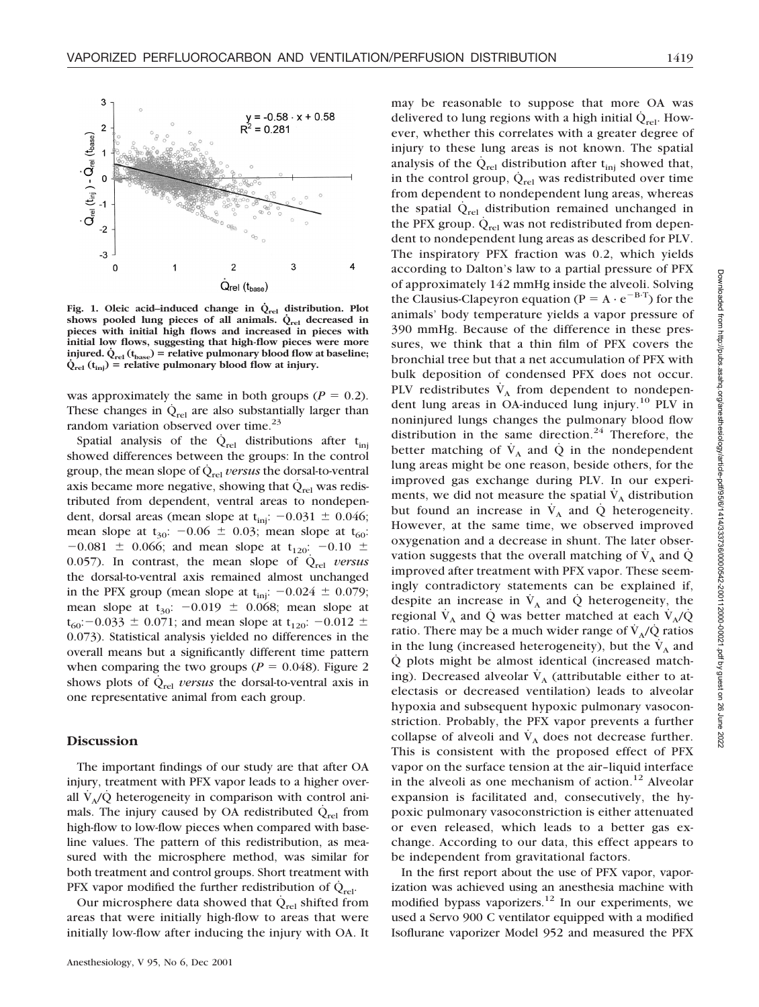



Fig. 1. Oleic acid–induced change in  $\dot{Q}_{rel}$  distribution. Plot shows pooled lung pieces of all animals.  $\dot{Q}_{rel}$  decreased in **pieces with initial high flows and increased in pieces with initial low flows, suggesting that high-flow pieces were more injured.**  $Q_{rel}$  ( $t_{base}$ ) = relative pulmonary blood flow at baseline;  $\dot{Q}_{rel}(t_{inj})$  = relative pulmonary blood flow at injury.

was approximately the same in both groups ( $P = 0.2$ ). These changes in  $\dot{Q}_{rel}$  are also substantially larger than random variation observed over time.<sup>23</sup>

Spatial analysis of the  $\dot{Q}_{rel}$  distributions after t<sub>ini</sub> showed differences between the groups: In the control group, the mean slope of  $\dot{Q}_{rel}$  *versus* the dorsal-to-ventral axis became more negative, showing that  $\dot{Q}_{rel}$  was redistributed from dependent, ventral areas to nondependent, dorsal areas (mean slope at  $t_{\text{inj}}$ :  $-0.031 \pm 0.046$ ; mean slope at  $t_{30}$ :  $-0.06 \pm 0.03$ ; mean slope at  $t_{60}$ :  $-0.081 \pm 0.066$ ; and mean slope at t<sub>120</sub>:  $-0.10 \pm 0.066$ 0.057). In contrast, the mean slope of  $\dot{Q}_{rel}$  *versus* the dorsal-to-ventral axis remained almost unchanged in the PFX group (mean slope at  $t_{\text{inj}}$ :  $-0.024 \pm 0.079$ ; mean slope at  $t_{30}$ :  $-0.019 \pm 0.068$ ; mean slope at  $t_{60}$ : -0.033  $\pm$  0.071; and mean slope at  $t_{120}$ : -0.012  $\pm$ 0.073). Statistical analysis yielded no differences in the overall means but a significantly different time pattern when comparing the two groups ( $P = 0.048$ ). Figure 2 shows plots of  $\dot{Q}_{rel}$  *versus* the dorsal-to-ventral axis in one representative animal from each group.

## **Discussion**

The important findings of our study are that after OA injury, treatment with PFX vapor leads to a higher overall  $V_A/Q$  heterogeneity in comparison with control animals. The injury caused by OA redistributed  $\dot{Q}_{rel}$  from high-flow to low-flow pieces when compared with baseline values. The pattern of this redistribution, as measured with the microsphere method, was similar for both treatment and control groups. Short treatment with PFX vapor modified the further redistribution of  $\dot{Q}_{rel}$ .

Our microsphere data showed that  $\dot{Q}_{rel}$  shifted from areas that were initially high-flow to areas that were initially low-flow after inducing the injury with OA. It

may be reasonable to suppose that more OA was delivered to lung regions with a high initial  $\dot{Q}_{rel}$ . However, whether this correlates with a greater degree of injury to these lung areas is not known. The spatial analysis of the  $\dot{Q}_{rel}$  distribution after t<sub>ini</sub> showed that, in the control group,  $\dot{Q}_{rel}$  was redistributed over time from dependent to nondependent lung areas, whereas the spatial  $\dot{Q}_{rel}$  distribution remained unchanged in the PFX group.  $\dot{Q}_{rel}$  was not redistributed from dependent to nondependent lung areas as described for PLV. The inspiratory PFX fraction was 0.2, which yields according to Dalton's law to a partial pressure of PFX of approximately 142 mmHg inside the alveoli. Solving the Clausius-Clapeyron equation ( $P = A \cdot e^{-B \cdot T}$ ) for the animals' body temperature yields a vapor pressure of 390 mmHg. Because of the difference in these pressures, we think that a thin film of PFX covers the bronchial tree but that a net accumulation of PFX with bulk deposition of condensed PFX does not occur. PLV redistributes  $\dot{V}_A$  from dependent to nondependent lung areas in OA-induced lung injury.<sup>10</sup> PLV in noninjured lungs changes the pulmonary blood flow distribution in the same direction. $24$  Therefore, the better matching of  $\dot{V}_A$  and  $\dot{Q}$  in the nondependent lung areas might be one reason, beside others, for the improved gas exchange during PLV. In our experiments, we did not measure the spatial  $\dot{V}_A$  distribution but found an increase in  $\dot{V}_A$  and  $\dot{Q}$  heterogeneity. However, at the same time, we observed improved oxygenation and a decrease in shunt. The later observation suggests that the overall matching of  $\dot{V}_A$  and  $\dot{Q}$ improved after treatment with PFX vapor. These seemingly contradictory statements can be explained if, despite an increase in  $V_A$  and Q heterogeneity, the regional  $\dot{V}_A$  and  $\dot{Q}$  was better matched at each  $\dot{V}_A/\dot{Q}$ ratio. There may be a much wider range of  $\dot{V}_A/\dot{Q}$  ratios in the lung (increased heterogeneity), but the  $V_A$  and Q˙ plots might be almost identical (increased matching). Decreased alveolar  $\dot{V}_A$  (attributable either to atelectasis or decreased ventilation) leads to alveolar hypoxia and subsequent hypoxic pulmonary vasoconstriction. Probably, the PFX vapor prevents a further collapse of alveoli and  $\dot{V}_A$  does not decrease further. This is consistent with the proposed effect of PFX vapor on the surface tension at the air–liquid interface in the alveoli as one mechanism of action.<sup>12</sup> Alveolar expansion is facilitated and, consecutively, the hypoxic pulmonary vasoconstriction is either attenuated or even released, which leads to a better gas exchange. According to our data, this effect appears to be independent from gravitational factors.

In the first report about the use of PFX vapor, vaporization was achieved using an anesthesia machine with modified bypass vaporizers.<sup>12</sup> In our experiments, we used a Servo 900 C ventilator equipped with a modified Isoflurane vaporizer Model 952 and measured the PFX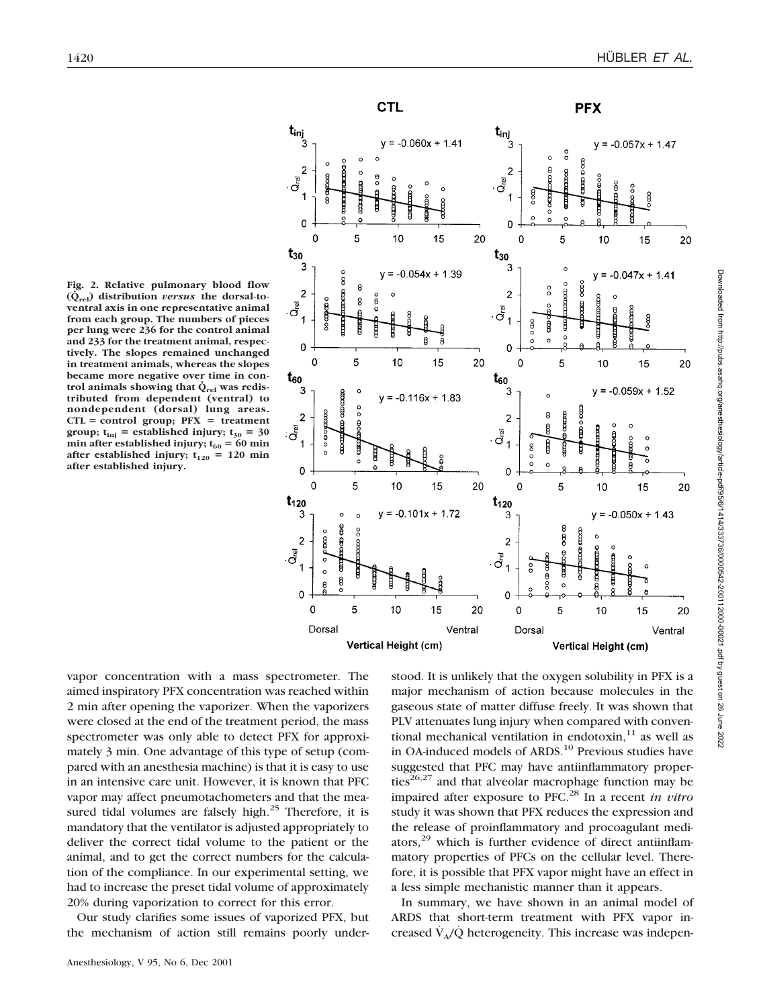

**PFX** 

 $(\dot{Q}_{rel})$  distribution *versus* the dorsal-to**ventral axis in one representative animal from each group. The numbers of pieces per lung were 236 for the control animal and 233 for the treatment animal, respectively. The slopes remained unchanged in treatment animals, whereas the slopes became more negative over time in con**trol animals showing that  $\dot{Q}_{rel}$  was redis**tributed from dependent (ventral) to nondependent (dorsal) lung areas.**  $CTL = control group; PFX = treatment$ **group;**  $t_{\text{inj}}$  = established injury;  $t_{30}$  = 30  $min$  after established injury;  $t_{60} = 60$  min after established injury;  $t_{120} = 120$  min **after established injury.**

**Fig. 2. Relative pulmonary blood flow**



vapor concentration with a mass spectrometer. The aimed inspiratory PFX concentration was reached within 2 min after opening the vaporizer. When the vaporizers were closed at the end of the treatment period, the mass spectrometer was only able to detect PFX for approximately 3 min. One advantage of this type of setup (compared with an anesthesia machine) is that it is easy to use in an intensive care unit. However, it is known that PFC vapor may affect pneumotachometers and that the measured tidal volumes are falsely high.<sup>25</sup> Therefore, it is mandatory that the ventilator is adjusted appropriately to deliver the correct tidal volume to the patient or the animal, and to get the correct numbers for the calculation of the compliance. In our experimental setting, we had to increase the preset tidal volume of approximately 20% during vaporization to correct for this error.

Our study clarifies some issues of vaporized PFX, but the mechanism of action still remains poorly under-

gaseous state of matter diffuse freely. It was shown that PLV attenuates lung injury when compared with conventional mechanical ventilation in endotoxin, $11$  as well as in OA-induced models of ARDS.<sup>10</sup> Previous studies have suggested that PFC may have antiinflammatory properties<sup>26,27</sup> and that alveolar macrophage function may be impaired after exposure to PFC.28 In a recent *in vitro* study it was shown that PFX reduces the expression and the release of proinflammatory and procoagulant mediators, $29$  which is further evidence of direct antiinflammatory properties of PFCs on the cellular level. Therefore, it is possible that PFX vapor might have an effect in a less simple mechanistic manner than it appears.

stood. It is unlikely that the oxygen solubility in PFX is a major mechanism of action because molecules in the

In summary, we have shown in an animal model of ARDS that short-term treatment with PFX vapor increased  $\dot{V}_{A}/\dot{Q}$  heterogeneity. This increase was indepen